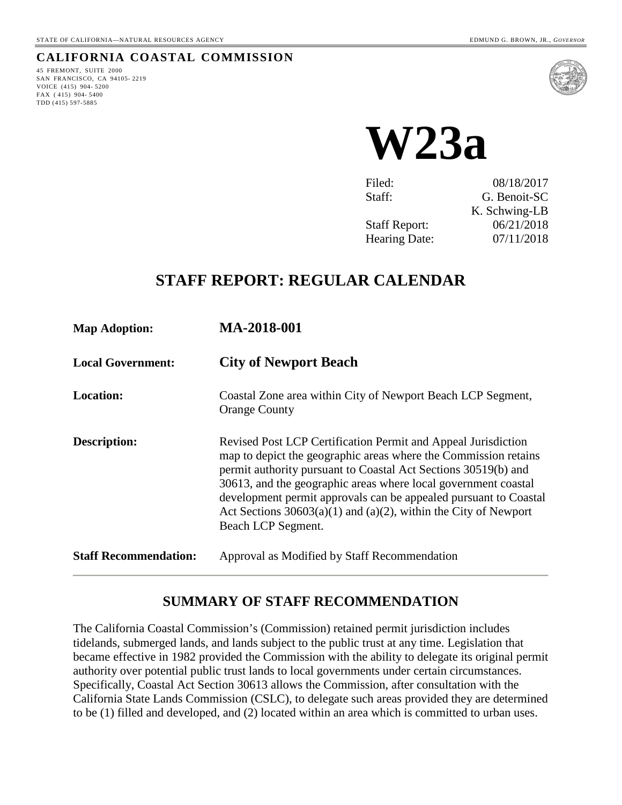#### **CALIFORNIA COASTAL COMMISSION**

45 FREMONT, SUITE 2000 SAN FRANCISCO, CA 94105- 2219 VOICE (415) 904- 5200 FAX ( 415) 904- 5400 TDD (415) 597-5885



**W23a** 

Filed: 08/18/2017 Staff: G. Benoit-SC K. Schwing-LB Staff Report: 06/21/2018 Hearing Date: 07/11/2018

# **STAFF REPORT: REGULAR CALENDAR**

| <b>Map Adoption:</b>         | <b>MA-2018-001</b>                                                                                                                                                                                                                                                                                                                                                                                                                     |
|------------------------------|----------------------------------------------------------------------------------------------------------------------------------------------------------------------------------------------------------------------------------------------------------------------------------------------------------------------------------------------------------------------------------------------------------------------------------------|
| <b>Local Government:</b>     | <b>City of Newport Beach</b>                                                                                                                                                                                                                                                                                                                                                                                                           |
| <b>Location:</b>             | Coastal Zone area within City of Newport Beach LCP Segment,<br><b>Orange County</b>                                                                                                                                                                                                                                                                                                                                                    |
| <b>Description:</b>          | Revised Post LCP Certification Permit and Appeal Jurisdiction<br>map to depict the geographic areas where the Commission retains<br>permit authority pursuant to Coastal Act Sections 30519(b) and<br>30613, and the geographic areas where local government coastal<br>development permit approvals can be appealed pursuant to Coastal<br>Act Sections $30603(a)(1)$ and $(a)(2)$ , within the City of Newport<br>Beach LCP Segment. |
| <b>Staff Recommendation:</b> | Approval as Modified by Staff Recommendation                                                                                                                                                                                                                                                                                                                                                                                           |

# **SUMMARY OF STAFF RECOMMENDATION**

The California Coastal Commission's (Commission) retained permit jurisdiction includes tidelands, submerged lands, and lands subject to the public trust at any time. Legislation that became effective in 1982 provided the Commission with the ability to delegate its original permit authority over potential public trust lands to local governments under certain circumstances. Specifically, Coastal Act Section 30613 allows the Commission, after consultation with the California State Lands Commission (CSLC), to delegate such areas provided they are determined to be (1) filled and developed, and (2) located within an area which is committed to urban uses.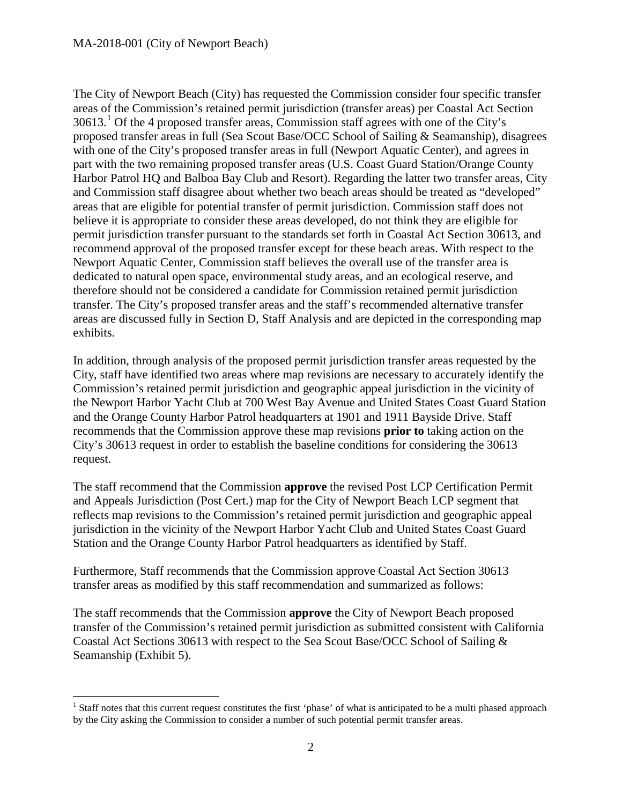$\overline{a}$ 

The City of Newport Beach (City) has requested the Commission consider four specific transfer areas of the Commission's retained permit jurisdiction (transfer areas) per Coastal Act Section  $30613<sup>1</sup>$  $30613<sup>1</sup>$  $30613<sup>1</sup>$  Of the 4 proposed transfer areas, Commission staff agrees with one of the City's proposed transfer areas in full (Sea Scout Base/OCC School of Sailing & Seamanship), disagrees with one of the City's proposed transfer areas in full (Newport Aquatic Center), and agrees in part with the two remaining proposed transfer areas (U.S. Coast Guard Station/Orange County Harbor Patrol HQ and Balboa Bay Club and Resort). Regarding the latter two transfer areas, City and Commission staff disagree about whether two beach areas should be treated as "developed" areas that are eligible for potential transfer of permit jurisdiction. Commission staff does not believe it is appropriate to consider these areas developed, do not think they are eligible for permit jurisdiction transfer pursuant to the standards set forth in Coastal Act Section 30613, and recommend approval of the proposed transfer except for these beach areas. With respect to the Newport Aquatic Center, Commission staff believes the overall use of the transfer area is dedicated to natural open space, environmental study areas, and an ecological reserve, and therefore should not be considered a candidate for Commission retained permit jurisdiction transfer. The City's proposed transfer areas and the staff's recommended alternative transfer areas are discussed fully in Section D, Staff Analysis and are depicted in the corresponding map exhibits.

In addition, through analysis of the proposed permit jurisdiction transfer areas requested by the City, staff have identified two areas where map revisions are necessary to accurately identify the Commission's retained permit jurisdiction and geographic appeal jurisdiction in the vicinity of the Newport Harbor Yacht Club at 700 West Bay Avenue and United States Coast Guard Station and the Orange County Harbor Patrol headquarters at 1901 and 1911 Bayside Drive. Staff recommends that the Commission approve these map revisions **prior to** taking action on the City's 30613 request in order to establish the baseline conditions for considering the 30613 request.

The staff recommend that the Commission **approve** the revised Post LCP Certification Permit and Appeals Jurisdiction (Post Cert.) map for the City of Newport Beach LCP segment that reflects map revisions to the Commission's retained permit jurisdiction and geographic appeal jurisdiction in the vicinity of the Newport Harbor Yacht Club and United States Coast Guard Station and the Orange County Harbor Patrol headquarters as identified by Staff.

Furthermore, Staff recommends that the Commission approve Coastal Act Section 30613 transfer areas as modified by this staff recommendation and summarized as follows:

The staff recommends that the Commission **approve** the City of Newport Beach proposed transfer of the Commission's retained permit jurisdiction as submitted consistent with California Coastal Act Sections 30613 with respect to the Sea Scout Base/OCC School of Sailing & Seamanship (Exhibit 5).

<span id="page-1-0"></span><sup>&</sup>lt;sup>1</sup> Staff notes that this current request constitutes the first 'phase' of what is anticipated to be a multi phased approach by the City asking the Commission to consider a number of such potential permit transfer areas.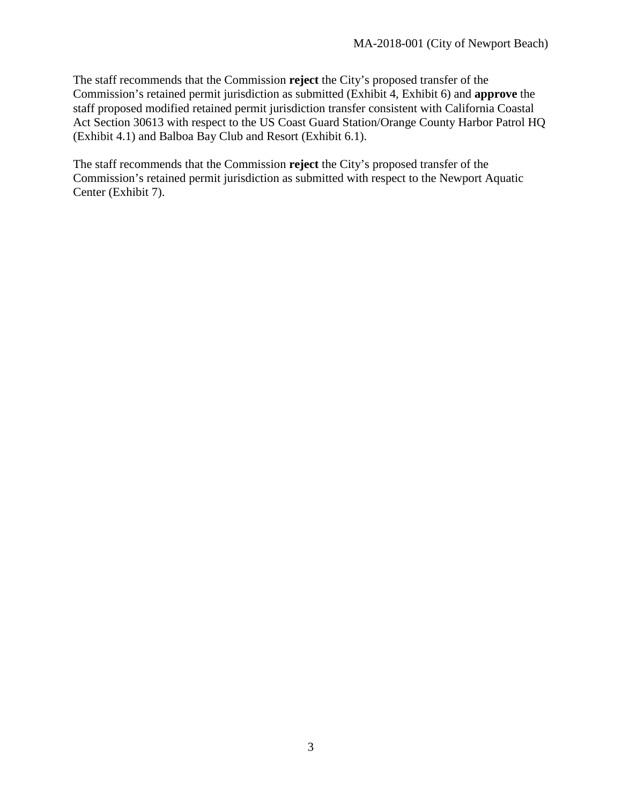The staff recommends that the Commission **reject** the City's proposed transfer of the Commission's retained permit jurisdiction as submitted (Exhibit 4, Exhibit 6) and **approve** the staff proposed modified retained permit jurisdiction transfer consistent with California Coastal Act Section 30613 with respect to the US Coast Guard Station/Orange County Harbor Patrol HQ (Exhibit 4.1) and Balboa Bay Club and Resort (Exhibit 6.1).

The staff recommends that the Commission **reject** the City's proposed transfer of the Commission's retained permit jurisdiction as submitted with respect to the Newport Aquatic Center (Exhibit 7).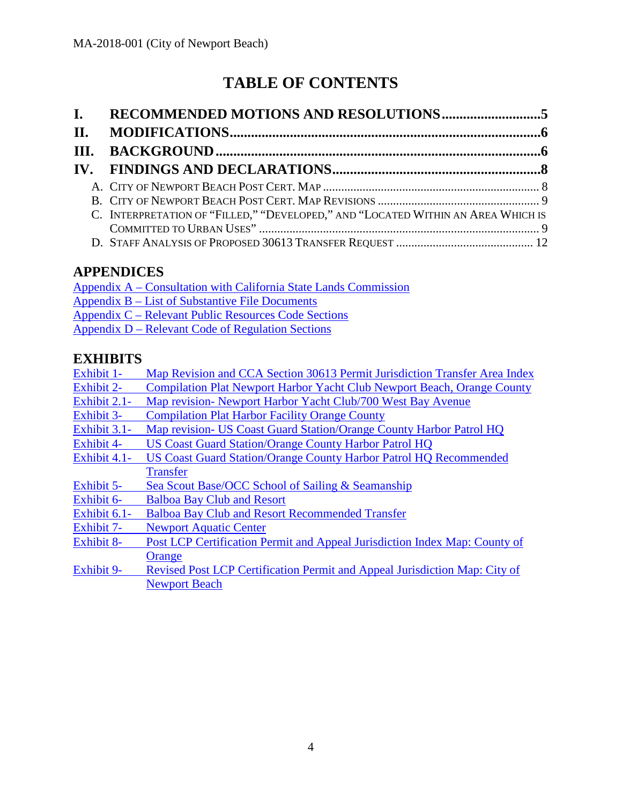# **TABLE OF CONTENTS**

| $\mathbf{I}$ . |                                                                                  |  |
|----------------|----------------------------------------------------------------------------------|--|
| II.            |                                                                                  |  |
|                |                                                                                  |  |
|                |                                                                                  |  |
|                |                                                                                  |  |
|                |                                                                                  |  |
|                | C. INTERPRETATION OF "FILLED," "DEVELOPED," AND "LOCATED WITHIN AN AREA WHICH IS |  |
|                |                                                                                  |  |
|                |                                                                                  |  |

# **APPENDICES**

[Appendix A – Consultation with California State Lands Commission](https://documents.coastal.ca.gov/reports/2018/7/w23a/w23a-7-2018-appendix.pdf) [Appendix B – List of Substantive File Documents](https://documents.coastal.ca.gov/reports/2018/7/w23a/w23a-7-2018-appendix.pdf) [Appendix C – Relevant Public Resources Code Sections](https://documents.coastal.ca.gov/reports/2018/7/w23a/w23a-7-2018-appendix.pdf)  [Appendix D – Relevant Code of Regulation Sections](https://documents.coastal.ca.gov/reports/2018/7/w23a/w23a-7-2018-appendix.pdf)

# **EXHIBITS**

| Exhibit 1-        | Map Revision and CCA Section 30613 Permit Jurisdiction Transfer Area Index |
|-------------------|----------------------------------------------------------------------------|
| <b>Exhibit 2-</b> | Compilation Plat Newport Harbor Yacht Club Newport Beach, Orange County    |
| Exhibit 2.1-      | Map revision- Newport Harbor Yacht Club/700 West Bay Avenue                |
| <b>Exhibit 3-</b> | <b>Compilation Plat Harbor Facility Orange County</b>                      |
| Exhibit 3.1-      | Map revision- US Coast Guard Station/Orange County Harbor Patrol HQ        |
| <b>Exhibit 4-</b> | <b>US Coast Guard Station/Orange County Harbor Patrol HQ</b>               |
| Exhibit 4.1-      | <b>US Coast Guard Station/Orange County Harbor Patrol HQ Recommended</b>   |
|                   | <b>Transfer</b>                                                            |
| Exhibit 5-        | Sea Scout Base/OCC School of Sailing & Seamanship                          |
| Exhibit 6-        | <b>Balboa Bay Club and Resort</b>                                          |
| Exhibit $6.1$ -   | <b>Balboa Bay Club and Resort Recommended Transfer</b>                     |
| <b>Exhibit 7-</b> | <b>Newport Aquatic Center</b>                                              |
| <b>Exhibit 8-</b> | Post LCP Certification Permit and Appeal Jurisdiction Index Map: County of |
|                   | Orange                                                                     |
| <b>Exhibit 9-</b> | Revised Post LCP Certification Permit and Appeal Jurisdiction Map: City of |
|                   | <b>Newport Beach</b>                                                       |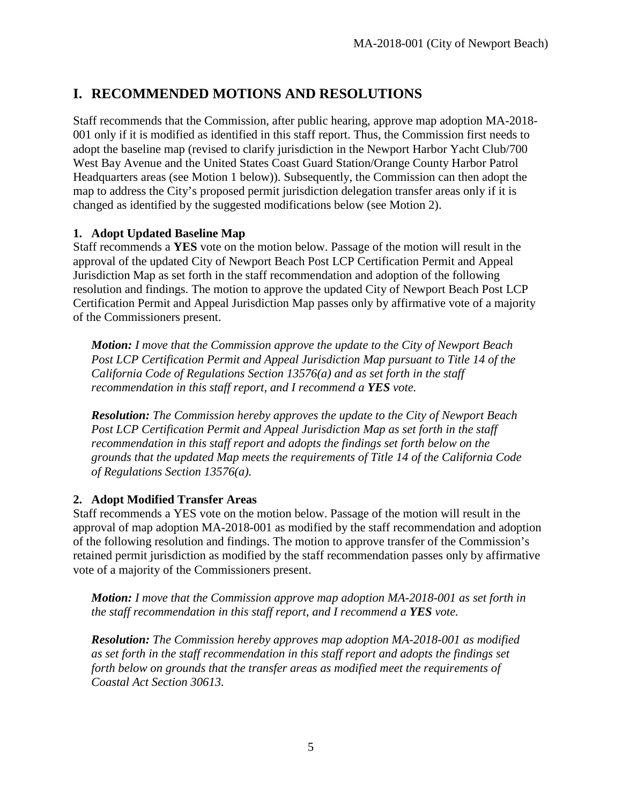# <span id="page-4-0"></span>**I. RECOMMENDED MOTIONS AND RESOLUTIONS**

Staff recommends that the Commission, after public hearing, approve map adoption MA-2018- 001 only if it is modified as identified in this staff report. Thus, the Commission first needs to adopt the baseline map (revised to clarify jurisdiction in the Newport Harbor Yacht Club/700 West Bay Avenue and the United States Coast Guard Station/Orange County Harbor Patrol Headquarters areas (see Motion 1 below)). Subsequently, the Commission can then adopt the map to address the City's proposed permit jurisdiction delegation transfer areas only if it is changed as identified by the suggested modifications below (see Motion 2).

### **1. Adopt Updated Baseline Map**

Staff recommends a **YES** vote on the motion below. Passage of the motion will result in the approval of the updated City of Newport Beach Post LCP Certification Permit and Appeal Jurisdiction Map as set forth in the staff recommendation and adoption of the following resolution and findings. The motion to approve the updated City of Newport Beach Post LCP Certification Permit and Appeal Jurisdiction Map passes only by affirmative vote of a majority of the Commissioners present.

*Motion: I move that the Commission approve the update to the City of Newport Beach*  Post LCP Certification Permit and Appeal Jurisdiction Map pursuant to Title 14 of the *California Code of Regulations Section 13576(a) and as set forth in the staff recommendation in this staff report, and I recommend a YES vote.* 

*Resolution: The Commission hereby approves the update to the City of Newport Beach*  Post LCP Certification Permit and Appeal Jurisdiction Map as set forth in the staff *recommendation in this staff report and adopts the findings set forth below on the grounds that the updated Map meets the requirements of Title 14 of the California Code of Regulations Section 13576(a).* 

# **2. Adopt Modified Transfer Areas**

Staff recommends a YES vote on the motion below. Passage of the motion will result in the approval of map adoption MA-2018-001 as modified by the staff recommendation and adoption of the following resolution and findings. The motion to approve transfer of the Commission's retained permit jurisdiction as modified by the staff recommendation passes only by affirmative vote of a majority of the Commissioners present.

*Motion: I move that the Commission approve map adoption MA-2018-001 as set forth in the staff recommendation in this staff report, and I recommend a YES vote.* 

*Resolution: The Commission hereby approves map adoption MA-2018-001 as modified as set forth in the staff recommendation in this staff report and adopts the findings set forth below on grounds that the transfer areas as modified meet the requirements of Coastal Act Section 30613.*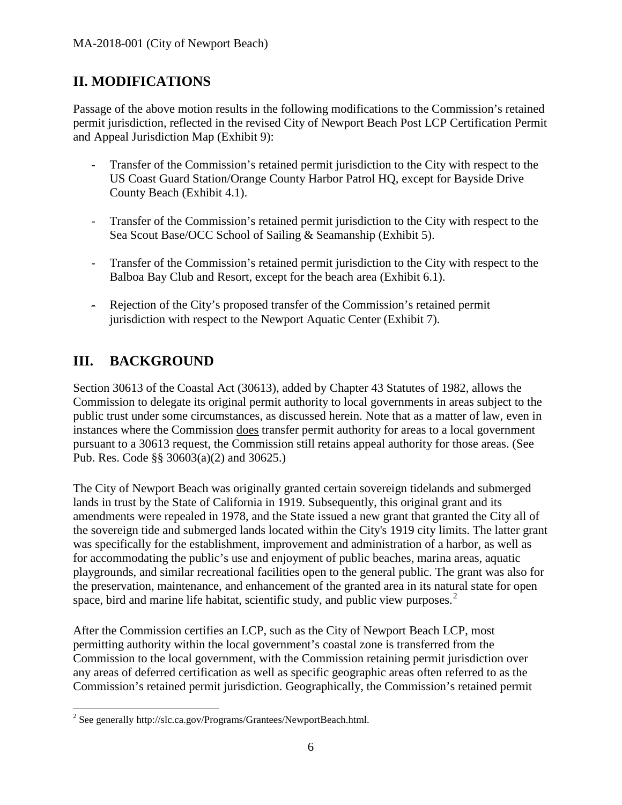# <span id="page-5-0"></span>**II. MODIFICATIONS**

Passage of the above motion results in the following modifications to the Commission's retained permit jurisdiction, reflected in the revised City of Newport Beach Post LCP Certification Permit and Appeal Jurisdiction Map (Exhibit 9):

- Transfer of the Commission's retained permit jurisdiction to the City with respect to the US Coast Guard Station/Orange County Harbor Patrol HQ, except for Bayside Drive County Beach (Exhibit 4.1).
- Transfer of the Commission's retained permit jurisdiction to the City with respect to the Sea Scout Base/OCC School of Sailing & Seamanship (Exhibit 5).
- Transfer of the Commission's retained permit jurisdiction to the City with respect to the Balboa Bay Club and Resort, except for the beach area (Exhibit 6.1).
- Rejection of the City's proposed transfer of the Commission's retained permit jurisdiction with respect to the Newport Aquatic Center (Exhibit 7).

# <span id="page-5-1"></span>**III. BACKGROUND**

Section 30613 of the Coastal Act (30613), added by Chapter 43 Statutes of 1982, allows the Commission to delegate its original permit authority to local governments in areas subject to the public trust under some circumstances, as discussed herein. Note that as a matter of law, even in instances where the Commission does transfer permit authority for areas to a local government pursuant to a 30613 request, the Commission still retains appeal authority for those areas. (See Pub. Res. Code §§ 30603(a)(2) and 30625.)

The City of Newport Beach was originally granted certain sovereign tidelands and submerged lands in trust by the State of California in 1919. Subsequently, this original grant and its amendments were repealed in 1978, and the State issued a new grant that granted the City all of the sovereign tide and submerged lands located within the City's 1919 city limits. The latter grant was specifically for the establishment, improvement and administration of a harbor, as well as for accommodating the public's use and enjoyment of public beaches, marina areas, aquatic playgrounds, and similar recreational facilities open to the general public. The grant was also for the preservation, maintenance, and enhancement of the granted area in its natural state for open space, bird and marine life habitat, scientific study, and public view purposes.<sup>[2](#page-5-2)</sup>

After the Commission certifies an LCP, such as the City of Newport Beach LCP, most permitting authority within the local government's coastal zone is transferred from the Commission to the local government, with the Commission retaining permit jurisdiction over any areas of deferred certification as well as specific geographic areas often referred to as the Commission's retained permit jurisdiction. Geographically, the Commission's retained permit

<span id="page-5-2"></span> $\overline{a}$ <sup>2</sup> See generally http://slc.ca.gov/Programs/Grantees/NewportBeach.html.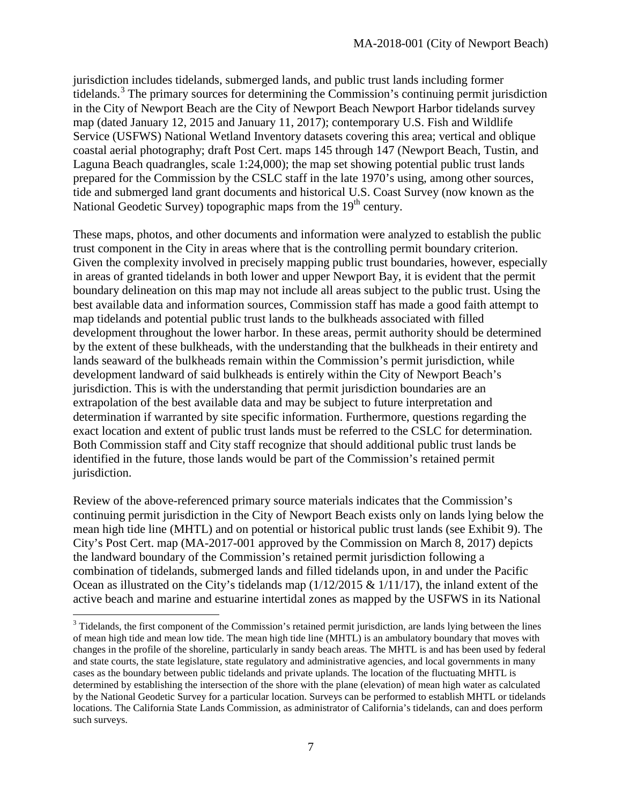jurisdiction includes tidelands, submerged lands, and public trust lands including former tidelands.<sup>[3](#page-6-0)</sup> The primary sources for determining the Commission's continuing permit jurisdiction in the City of Newport Beach are the City of Newport Beach Newport Harbor tidelands survey map (dated January 12, 2015 and January 11, 2017); contemporary U.S. Fish and Wildlife Service (USFWS) National Wetland Inventory datasets covering this area; vertical and oblique coastal aerial photography; draft Post Cert. maps 145 through 147 (Newport Beach, Tustin, and Laguna Beach quadrangles, scale 1:24,000); the map set showing potential public trust lands prepared for the Commission by the CSLC staff in the late 1970's using, among other sources, tide and submerged land grant documents and historical U.S. Coast Survey (now known as the National Geodetic Survey) topographic maps from the 19<sup>th</sup> century.

These maps, photos, and other documents and information were analyzed to establish the public trust component in the City in areas where that is the controlling permit boundary criterion. Given the complexity involved in precisely mapping public trust boundaries, however, especially in areas of granted tidelands in both lower and upper Newport Bay, it is evident that the permit boundary delineation on this map may not include all areas subject to the public trust. Using the best available data and information sources, Commission staff has made a good faith attempt to map tidelands and potential public trust lands to the bulkheads associated with filled development throughout the lower harbor. In these areas, permit authority should be determined by the extent of these bulkheads, with the understanding that the bulkheads in their entirety and lands seaward of the bulkheads remain within the Commission's permit jurisdiction, while development landward of said bulkheads is entirely within the City of Newport Beach's jurisdiction. This is with the understanding that permit jurisdiction boundaries are an extrapolation of the best available data and may be subject to future interpretation and determination if warranted by site specific information. Furthermore, questions regarding the exact location and extent of public trust lands must be referred to the CSLC for determination*.*  Both Commission staff and City staff recognize that should additional public trust lands be identified in the future, those lands would be part of the Commission's retained permit jurisdiction.

Review of the above-referenced primary source materials indicates that the Commission's continuing permit jurisdiction in the City of Newport Beach exists only on lands lying below the mean high tide line (MHTL) and on potential or historical public trust lands (see Exhibit 9). The City's Post Cert. map (MA-2017-001 approved by the Commission on March 8, 2017) depicts the landward boundary of the Commission's retained permit jurisdiction following a combination of tidelands, submerged lands and filled tidelands upon, in and under the Pacific Ocean as illustrated on the City's tidelands map (1/12/2015 & 1/11/17), the inland extent of the active beach and marine and estuarine intertidal zones as mapped by the USFWS in its National

 $\overline{a}$ 

<span id="page-6-0"></span><sup>&</sup>lt;sup>3</sup> Tidelands, the first component of the Commission's retained permit jurisdiction, are lands lying between the lines of mean high tide and mean low tide. The mean high tide line (MHTL) is an ambulatory boundary that moves with changes in the profile of the shoreline, particularly in sandy beach areas. The MHTL is and has been used by federal and state courts, the state legislature, state regulatory and administrative agencies, and local governments in many cases as the boundary between public tidelands and private uplands. The location of the fluctuating MHTL is determined by establishing the intersection of the shore with the plane (elevation) of mean high water as calculated by the National Geodetic Survey for a particular location. Surveys can be performed to establish MHTL or tidelands locations. The California State Lands Commission, as administrator of California's tidelands, can and does perform such surveys.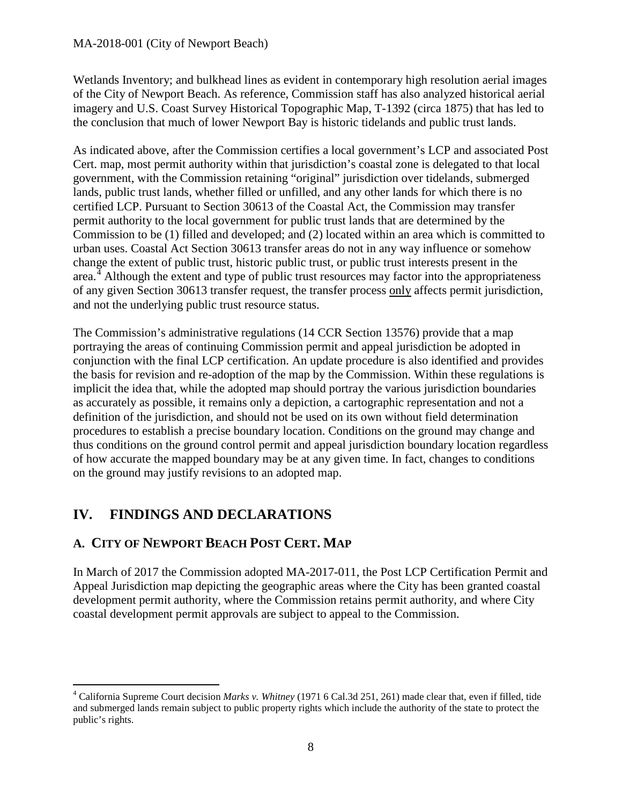#### MA-2018-001 (City of Newport Beach)

Wetlands Inventory; and bulkhead lines as evident in contemporary high resolution aerial images of the City of Newport Beach. As reference, Commission staff has also analyzed historical aerial imagery and U.S. Coast Survey Historical Topographic Map, T-1392 (circa 1875) that has led to the conclusion that much of lower Newport Bay is historic tidelands and public trust lands.

As indicated above, after the Commission certifies a local government's LCP and associated Post Cert. map, most permit authority within that jurisdiction's coastal zone is delegated to that local government, with the Commission retaining "original" jurisdiction over tidelands, submerged lands, public trust lands, whether filled or unfilled, and any other lands for which there is no certified LCP. Pursuant to Section 30613 of the Coastal Act, the Commission may transfer permit authority to the local government for public trust lands that are determined by the Commission to be (1) filled and developed; and (2) located within an area which is committed to urban uses. Coastal Act Section 30613 transfer areas do not in any way influence or somehow change the extent of public trust, historic public trust, or public trust interests present in the area.<sup>[4](#page-7-2)</sup> Although the extent and type of public trust resources may factor into the appropriateness of any given Section 30613 transfer request, the transfer process only affects permit jurisdiction, and not the underlying public trust resource status.

The Commission's administrative regulations (14 CCR Section 13576) provide that a map portraying the areas of continuing Commission permit and appeal jurisdiction be adopted in conjunction with the final LCP certification. An update procedure is also identified and provides the basis for revision and re-adoption of the map by the Commission. Within these regulations is implicit the idea that, while the adopted map should portray the various jurisdiction boundaries as accurately as possible, it remains only a depiction, a cartographic representation and not a definition of the jurisdiction, and should not be used on its own without field determination procedures to establish a precise boundary location. Conditions on the ground may change and thus conditions on the ground control permit and appeal jurisdiction boundary location regardless of how accurate the mapped boundary may be at any given time. In fact, changes to conditions on the ground may justify revisions to an adopted map.

# <span id="page-7-0"></span>**IV. FINDINGS AND DECLARATIONS**

# <span id="page-7-1"></span>**A. CITY OF NEWPORT BEACH POST CERT. MAP**

In March of 2017 the Commission adopted MA-2017-011, the Post LCP Certification Permit and Appeal Jurisdiction map depicting the geographic areas where the City has been granted coastal development permit authority, where the Commission retains permit authority, and where City coastal development permit approvals are subject to appeal to the Commission.

<span id="page-7-2"></span> $\overline{a}$ <sup>4</sup> California Supreme Court decision *Marks v. Whitney* (1971 6 Cal.3d 251, 261) made clear that, even if filled, tide and submerged lands remain subject to public property rights which include the authority of the state to protect the public's rights.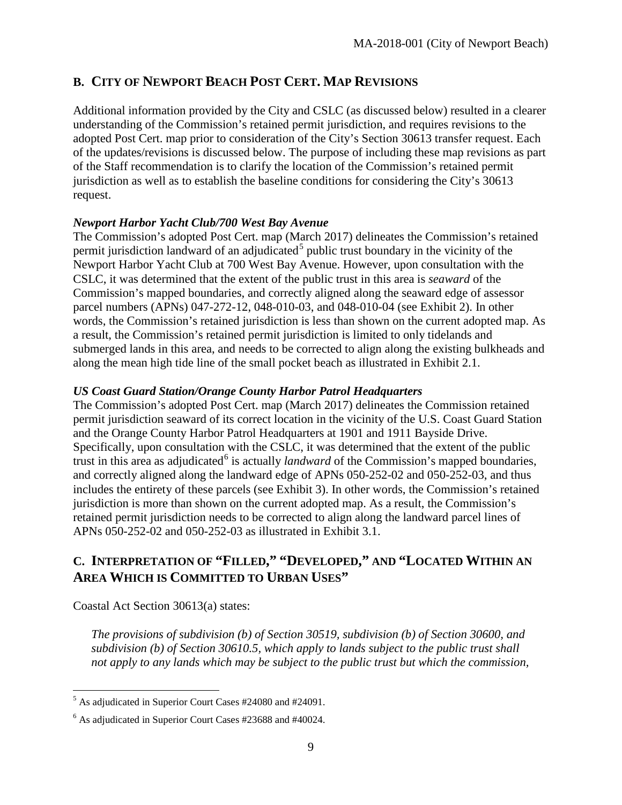# <span id="page-8-0"></span>**B. CITY OF NEWPORT BEACH POST CERT. MAP REVISIONS**

Additional information provided by the City and CSLC (as discussed below) resulted in a clearer understanding of the Commission's retained permit jurisdiction, and requires revisions to the adopted Post Cert. map prior to consideration of the City's Section 30613 transfer request. Each of the updates/revisions is discussed below. The purpose of including these map revisions as part of the Staff recommendation is to clarify the location of the Commission's retained permit jurisdiction as well as to establish the baseline conditions for considering the City's 30613 request.

### *Newport Harbor Yacht Club/700 West Bay Avenue*

The Commission's adopted Post Cert. map (March 2017) delineates the Commission's retained permit jurisdiction landward of an adjudicated<sup>[5](#page-8-2)</sup> public trust boundary in the vicinity of the Newport Harbor Yacht Club at 700 West Bay Avenue. However, upon consultation with the CSLC, it was determined that the extent of the public trust in this area is *seaward* of the Commission's mapped boundaries, and correctly aligned along the seaward edge of assessor parcel numbers (APNs) 047-272-12, 048-010-03, and 048-010-04 (see Exhibit 2). In other words, the Commission's retained jurisdiction is less than shown on the current adopted map. As a result, the Commission's retained permit jurisdiction is limited to only tidelands and submerged lands in this area, and needs to be corrected to align along the existing bulkheads and along the mean high tide line of the small pocket beach as illustrated in Exhibit 2.1.

# *US Coast Guard Station/Orange County Harbor Patrol Headquarters*

The Commission's adopted Post Cert. map (March 2017) delineates the Commission retained permit jurisdiction seaward of its correct location in the vicinity of the U.S. Coast Guard Station and the Orange County Harbor Patrol Headquarters at 1901 and 1911 Bayside Drive. Specifically, upon consultation with the CSLC, it was determined that the extent of the public trust in this area as adjudicated<sup>[6](#page-8-3)</sup> is actually *landward* of the Commission's mapped boundaries, and correctly aligned along the landward edge of APNs 050-252-02 and 050-252-03, and thus includes the entirety of these parcels (see Exhibit 3). In other words, the Commission's retained jurisdiction is more than shown on the current adopted map. As a result, the Commission's retained permit jurisdiction needs to be corrected to align along the landward parcel lines of APNs 050-252-02 and 050-252-03 as illustrated in Exhibit 3.1.

# <span id="page-8-1"></span>**C. INTERPRETATION OF "FILLED," "DEVELOPED," AND "LOCATED WITHIN AN AREA WHICH IS COMMITTED TO URBAN USES"**

Coastal Act Section 30613(a) states:

*The provisions of subdivision (b) of Section 30519, subdivision (b) of Section 30600, and subdivision (b) of Section 30610.5, which apply to lands subject to the public trust shall not apply to any lands which may be subject to the public trust but which the commission,* 

<span id="page-8-2"></span> $\overline{a}$  $<sup>5</sup>$  As adjudicated in Superior Court Cases #24080 and #24091.</sup>

<span id="page-8-3"></span><sup>6</sup> As adjudicated in Superior Court Cases #23688 and #40024.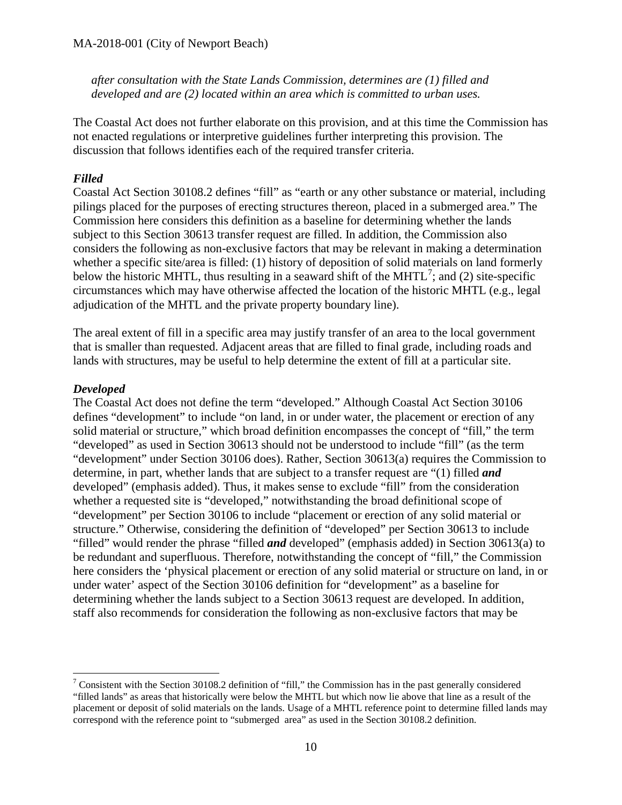*after consultation with the State Lands Commission, determines are (1) filled and developed and are (2) located within an area which is committed to urban uses.* 

The Coastal Act does not further elaborate on this provision, and at this time the Commission has not enacted regulations or interpretive guidelines further interpreting this provision. The discussion that follows identifies each of the required transfer criteria.

#### *Filled*

Coastal Act Section 30108.2 defines "fill" as "earth or any other substance or material, including pilings placed for the purposes of erecting structures thereon, placed in a submerged area." The Commission here considers this definition as a baseline for determining whether the lands subject to this Section 30613 transfer request are filled. In addition, the Commission also considers the following as non-exclusive factors that may be relevant in making a determination whether a specific site/area is filled: (1) history of deposition of solid materials on land formerly below the historic MHTL, thus resulting in a seaward shift of the MHTL<sup>[7](#page-9-0)</sup>; and (2) site-specific circumstances which may have otherwise affected the location of the historic MHTL (e.g., legal adjudication of the MHTL and the private property boundary line).

The areal extent of fill in a specific area may justify transfer of an area to the local government that is smaller than requested. Adjacent areas that are filled to final grade, including roads and lands with structures, may be useful to help determine the extent of fill at a particular site.

#### *Developed*

The Coastal Act does not define the term "developed." Although Coastal Act Section 30106 defines "development" to include "on land, in or under water, the placement or erection of any solid material or structure," which broad definition encompasses the concept of "fill," the term "developed" as used in Section 30613 should not be understood to include "fill" (as the term "development" under Section 30106 does). Rather, Section 30613(a) requires the Commission to determine, in part, whether lands that are subject to a transfer request are "(1) filled *and*  developed" (emphasis added). Thus, it makes sense to exclude "fill" from the consideration whether a requested site is "developed," notwithstanding the broad definitional scope of "development" per Section 30106 to include "placement or erection of any solid material or structure." Otherwise, considering the definition of "developed" per Section 30613 to include "filled" would render the phrase "filled *and* developed" (emphasis added) in Section 30613(a) to be redundant and superfluous. Therefore, notwithstanding the concept of "fill," the Commission here considers the 'physical placement or erection of any solid material or structure on land, in or under water' aspect of the Section 30106 definition for "development" as a baseline for determining whether the lands subject to a Section 30613 request are developed. In addition, staff also recommends for consideration the following as non-exclusive factors that may be

<span id="page-9-0"></span> $\overline{a}$ <sup>7</sup> Consistent with the Section 30108.2 definition of "fill," the Commission has in the past generally considered "filled lands" as areas that historically were below the MHTL but which now lie above that line as a result of the placement or deposit of solid materials on the lands. Usage of a MHTL reference point to determine filled lands may correspond with the reference point to "submerged area" as used in the Section 30108.2 definition.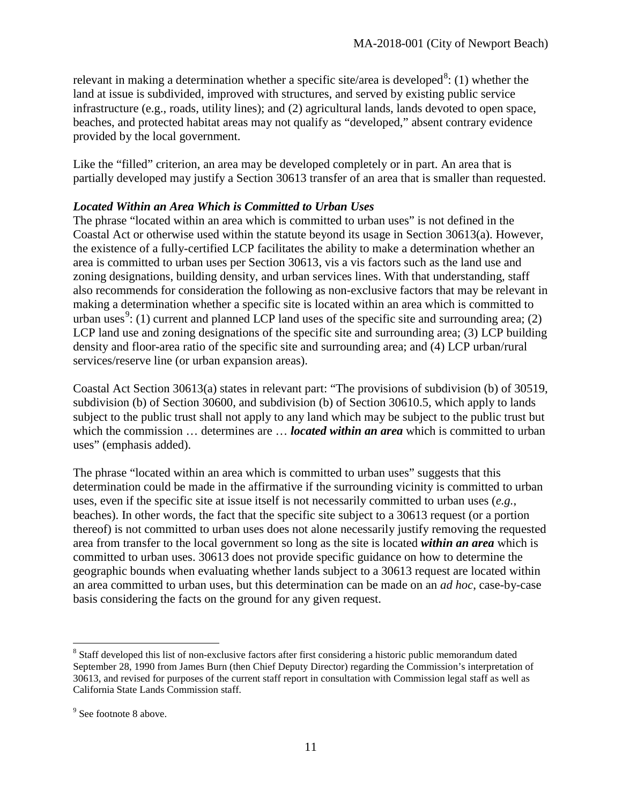relevant in making a determination whether a specific site/area is developed<sup>[8](#page-10-0)</sup>: (1) whether the land at issue is subdivided, improved with structures, and served by existing public service infrastructure (e.g., roads, utility lines); and (2) agricultural lands, lands devoted to open space, beaches, and protected habitat areas may not qualify as "developed," absent contrary evidence provided by the local government.

Like the "filled" criterion, an area may be developed completely or in part. An area that is partially developed may justify a Section 30613 transfer of an area that is smaller than requested.

#### *Located Within an Area Which is Committed to Urban Uses*

The phrase "located within an area which is committed to urban uses" is not defined in the Coastal Act or otherwise used within the statute beyond its usage in Section 30613(a). However, the existence of a fully-certified LCP facilitates the ability to make a determination whether an area is committed to urban uses per Section 30613, vis a vis factors such as the land use and zoning designations, building density, and urban services lines. With that understanding, staff also recommends for consideration the following as non-exclusive factors that may be relevant in making a determination whether a specific site is located within an area which is committed to urban uses<sup>[9](#page-10-1)</sup>: (1) current and planned LCP land uses of the specific site and surrounding area; (2) LCP land use and zoning designations of the specific site and surrounding area; (3) LCP building density and floor-area ratio of the specific site and surrounding area; and (4) LCP urban/rural services/reserve line (or urban expansion areas).

Coastal Act Section 30613(a) states in relevant part: "The provisions of subdivision (b) of 30519, subdivision (b) of Section 30600, and subdivision (b) of Section 30610.5, which apply to lands subject to the public trust shall not apply to any land which may be subject to the public trust but which the commission ... determines are ... *located within an area* which is committed to urban uses" (emphasis added).

The phrase "located within an area which is committed to urban uses" suggests that this determination could be made in the affirmative if the surrounding vicinity is committed to urban uses, even if the specific site at issue itself is not necessarily committed to urban uses (*e.g.*, beaches). In other words, the fact that the specific site subject to a 30613 request (or a portion thereof) is not committed to urban uses does not alone necessarily justify removing the requested area from transfer to the local government so long as the site is located *within an area* which is committed to urban uses. 30613 does not provide specific guidance on how to determine the geographic bounds when evaluating whether lands subject to a 30613 request are located within an area committed to urban uses, but this determination can be made on an *ad hoc*, case-by-case basis considering the facts on the ground for any given request.

<span id="page-10-0"></span> $\overline{a}$  $8$  Staff developed this list of non-exclusive factors after first considering a historic public memorandum dated September 28, 1990 from James Burn (then Chief Deputy Director) regarding the Commission's interpretation of 30613, and revised for purposes of the current staff report in consultation with Commission legal staff as well as California State Lands Commission staff.

<span id="page-10-1"></span><sup>&</sup>lt;sup>9</sup> See footnote 8 above.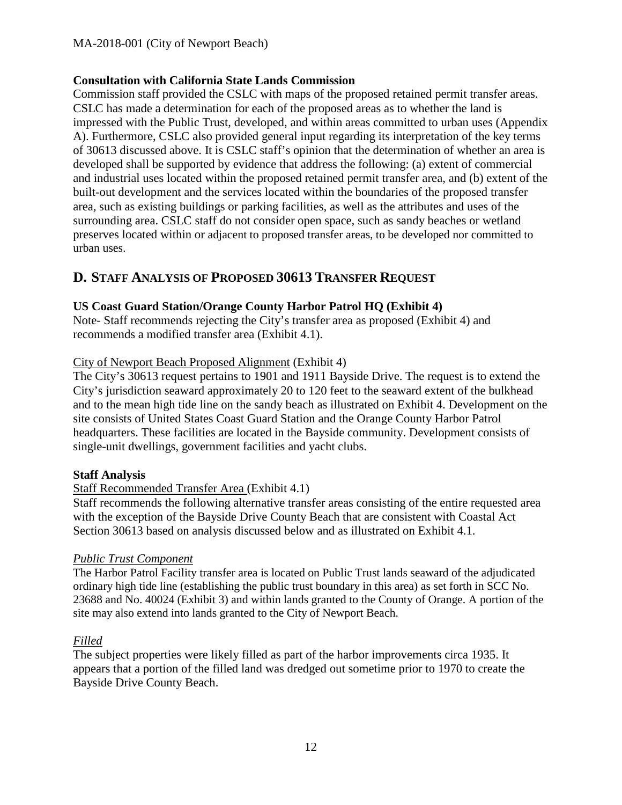#### **Consultation with California State Lands Commission**

Commission staff provided the CSLC with maps of the proposed retained permit transfer areas. CSLC has made a determination for each of the proposed areas as to whether the land is impressed with the Public Trust, developed, and within areas committed to urban uses (Appendix A). Furthermore, CSLC also provided general input regarding its interpretation of the key terms of 30613 discussed above. It is CSLC staff's opinion that the determination of whether an area is developed shall be supported by evidence that address the following: (a) extent of commercial and industrial uses located within the proposed retained permit transfer area, and (b) extent of the built-out development and the services located within the boundaries of the proposed transfer area, such as existing buildings or parking facilities, as well as the attributes and uses of the surrounding area. CSLC staff do not consider open space, such as sandy beaches or wetland preserves located within or adjacent to proposed transfer areas, to be developed nor committed to urban uses.

# <span id="page-11-0"></span>**D. STAFF ANALYSIS OF PROPOSED 30613 TRANSFER REQUEST**

### **US Coast Guard Station/Orange County Harbor Patrol HQ (Exhibit 4)**

Note- Staff recommends rejecting the City's transfer area as proposed (Exhibit 4) and recommends a modified transfer area (Exhibit 4.1).

### City of Newport Beach Proposed Alignment (Exhibit 4)

The City's 30613 request pertains to 1901 and 1911 Bayside Drive. The request is to extend the City's jurisdiction seaward approximately 20 to 120 feet to the seaward extent of the bulkhead and to the mean high tide line on the sandy beach as illustrated on Exhibit 4. Development on the site consists of United States Coast Guard Station and the Orange County Harbor Patrol headquarters. These facilities are located in the Bayside community. Development consists of single-unit dwellings, government facilities and yacht clubs.

#### **Staff Analysis**

# Staff Recommended Transfer Area (Exhibit 4.1)

Staff recommends the following alternative transfer areas consisting of the entire requested area with the exception of the Bayside Drive County Beach that are consistent with Coastal Act Section 30613 based on analysis discussed below and as illustrated on Exhibit 4.1.

#### *Public Trust Component*

The Harbor Patrol Facility transfer area is located on Public Trust lands seaward of the adjudicated ordinary high tide line (establishing the public trust boundary in this area) as set forth in SCC No. 23688 and No. 40024 (Exhibit 3) and within lands granted to the County of Orange. A portion of the site may also extend into lands granted to the City of Newport Beach.

# *Filled*

The subject properties were likely filled as part of the harbor improvements circa 1935. It appears that a portion of the filled land was dredged out sometime prior to 1970 to create the Bayside Drive County Beach.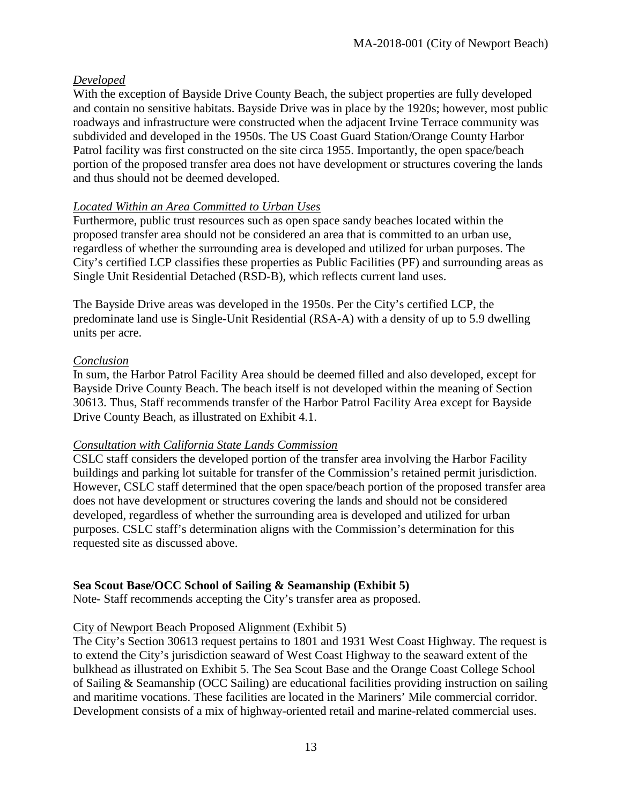### *Developed*

With the exception of Bayside Drive County Beach, the subject properties are fully developed and contain no sensitive habitats. Bayside Drive was in place by the 1920s; however, most public roadways and infrastructure were constructed when the adjacent Irvine Terrace community was subdivided and developed in the 1950s. The US Coast Guard Station/Orange County Harbor Patrol facility was first constructed on the site circa 1955. Importantly, the open space/beach portion of the proposed transfer area does not have development or structures covering the lands and thus should not be deemed developed.

### *Located Within an Area Committed to Urban Uses*

Furthermore, public trust resources such as open space sandy beaches located within the proposed transfer area should not be considered an area that is committed to an urban use, regardless of whether the surrounding area is developed and utilized for urban purposes. The City's certified LCP classifies these properties as Public Facilities (PF) and surrounding areas as Single Unit Residential Detached (RSD-B), which reflects current land uses.

The Bayside Drive areas was developed in the 1950s. Per the City's certified LCP, the predominate land use is Single-Unit Residential (RSA-A) with a density of up to 5.9 dwelling units per acre.

#### *Conclusion*

In sum, the Harbor Patrol Facility Area should be deemed filled and also developed, except for Bayside Drive County Beach. The beach itself is not developed within the meaning of Section 30613. Thus, Staff recommends transfer of the Harbor Patrol Facility Area except for Bayside Drive County Beach, as illustrated on Exhibit 4.1.

#### *Consultation with California State Lands Commission*

CSLC staff considers the developed portion of the transfer area involving the Harbor Facility buildings and parking lot suitable for transfer of the Commission's retained permit jurisdiction. However, CSLC staff determined that the open space/beach portion of the proposed transfer area does not have development or structures covering the lands and should not be considered developed, regardless of whether the surrounding area is developed and utilized for urban purposes. CSLC staff's determination aligns with the Commission's determination for this requested site as discussed above.

# **Sea Scout Base/OCC School of Sailing & Seamanship (Exhibit 5)**

Note- Staff recommends accepting the City's transfer area as proposed.

#### City of Newport Beach Proposed Alignment (Exhibit 5)

The City's Section 30613 request pertains to 1801 and 1931 West Coast Highway. The request is to extend the City's jurisdiction seaward of West Coast Highway to the seaward extent of the bulkhead as illustrated on Exhibit 5. The Sea Scout Base and the Orange Coast College School of Sailing & Seamanship (OCC Sailing) are educational facilities providing instruction on sailing and maritime vocations. These facilities are located in the Mariners' Mile commercial corridor. Development consists of a mix of highway-oriented retail and marine-related commercial uses.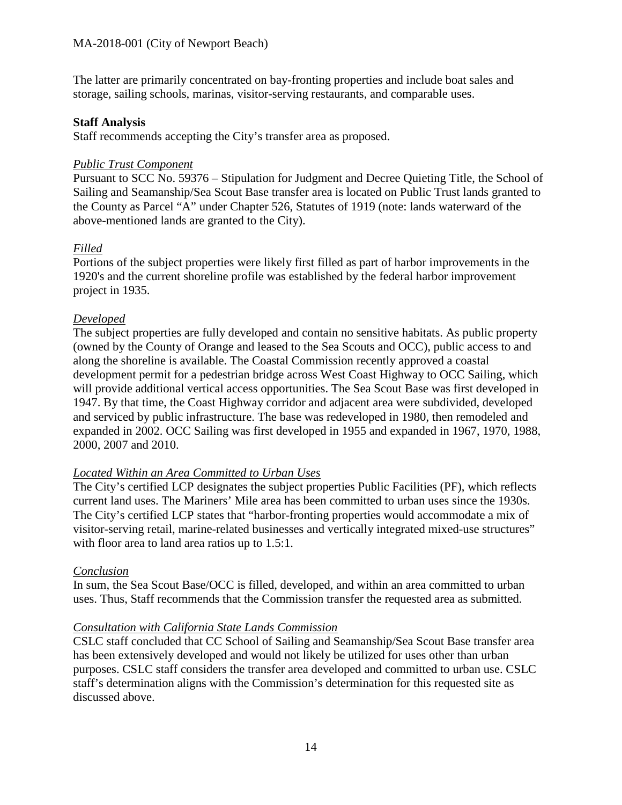The latter are primarily concentrated on bay-fronting properties and include boat sales and storage, sailing schools, marinas, visitor-serving restaurants, and comparable uses.

#### **Staff Analysis**

Staff recommends accepting the City's transfer area as proposed.

#### *Public Trust Component*

Pursuant to SCC No. 59376 – Stipulation for Judgment and Decree Quieting Title, the School of Sailing and Seamanship/Sea Scout Base transfer area is located on Public Trust lands granted to the County as Parcel "A" under Chapter 526, Statutes of 1919 (note: lands waterward of the above-mentioned lands are granted to the City).

#### *Filled*

Portions of the subject properties were likely first filled as part of harbor improvements in the 1920's and the current shoreline profile was established by the federal harbor improvement project in 1935.

#### *Developed*

The subject properties are fully developed and contain no sensitive habitats. As public property (owned by the County of Orange and leased to the Sea Scouts and OCC), public access to and along the shoreline is available. The Coastal Commission recently approved a coastal development permit for a pedestrian bridge across West Coast Highway to OCC Sailing, which will provide additional vertical access opportunities. The Sea Scout Base was first developed in 1947. By that time, the Coast Highway corridor and adjacent area were subdivided, developed and serviced by public infrastructure. The base was redeveloped in 1980, then remodeled and expanded in 2002. OCC Sailing was first developed in 1955 and expanded in 1967, 1970, 1988, 2000, 2007 and 2010.

#### *Located Within an Area Committed to Urban Uses*

The City's certified LCP designates the subject properties Public Facilities (PF), which reflects current land uses. The Mariners' Mile area has been committed to urban uses since the 1930s. The City's certified LCP states that "harbor-fronting properties would accommodate a mix of visitor-serving retail, marine-related businesses and vertically integrated mixed-use structures" with floor area to land area ratios up to 1.5:1.

#### *Conclusion*

In sum, the Sea Scout Base/OCC is filled, developed, and within an area committed to urban uses. Thus, Staff recommends that the Commission transfer the requested area as submitted.

#### *Consultation with California State Lands Commission*

CSLC staff concluded that CC School of Sailing and Seamanship/Sea Scout Base transfer area has been extensively developed and would not likely be utilized for uses other than urban purposes. CSLC staff considers the transfer area developed and committed to urban use. CSLC staff's determination aligns with the Commission's determination for this requested site as discussed above.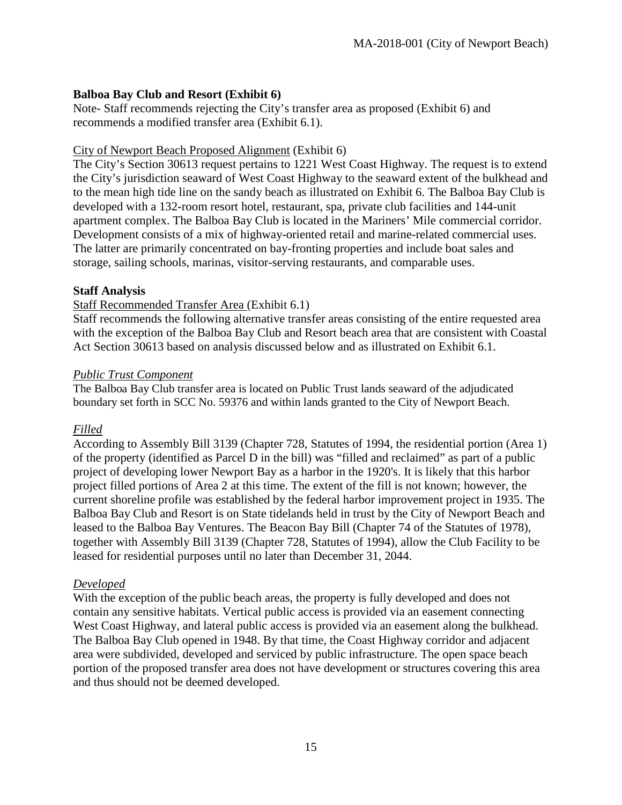### **Balboa Bay Club and Resort (Exhibit 6)**

Note- Staff recommends rejecting the City's transfer area as proposed (Exhibit 6) and recommends a modified transfer area (Exhibit 6.1).

#### City of Newport Beach Proposed Alignment (Exhibit 6)

The City's Section 30613 request pertains to 1221 West Coast Highway. The request is to extend the City's jurisdiction seaward of West Coast Highway to the seaward extent of the bulkhead and to the mean high tide line on the sandy beach as illustrated on Exhibit 6. The Balboa Bay Club is developed with a 132-room resort hotel, restaurant, spa, private club facilities and 144-unit apartment complex. The Balboa Bay Club is located in the Mariners' Mile commercial corridor. Development consists of a mix of highway-oriented retail and marine-related commercial uses. The latter are primarily concentrated on bay-fronting properties and include boat sales and storage, sailing schools, marinas, visitor-serving restaurants, and comparable uses.

#### **Staff Analysis**

#### Staff Recommended Transfer Area (Exhibit 6.1)

Staff recommends the following alternative transfer areas consisting of the entire requested area with the exception of the Balboa Bay Club and Resort beach area that are consistent with Coastal Act Section 30613 based on analysis discussed below and as illustrated on Exhibit 6.1.

#### *Public Trust Component*

The Balboa Bay Club transfer area is located on Public Trust lands seaward of the adjudicated boundary set forth in SCC No. 59376 and within lands granted to the City of Newport Beach.

#### *Filled*

According to Assembly Bill 3139 (Chapter 728, Statutes of 1994, the residential portion (Area 1) of the property (identified as Parcel D in the bill) was "filled and reclaimed" as part of a public project of developing lower Newport Bay as a harbor in the 1920's. It is likely that this harbor project filled portions of Area 2 at this time. The extent of the fill is not known; however, the current shoreline profile was established by the federal harbor improvement project in 1935. The Balboa Bay Club and Resort is on State tidelands held in trust by the City of Newport Beach and leased to the Balboa Bay Ventures. The Beacon Bay Bill (Chapter 74 of the Statutes of 1978), together with Assembly Bill 3139 (Chapter 728, Statutes of 1994), allow the Club Facility to be leased for residential purposes until no later than December 31, 2044.

#### *Developed*

With the exception of the public beach areas, the property is fully developed and does not contain any sensitive habitats. Vertical public access is provided via an easement connecting West Coast Highway, and lateral public access is provided via an easement along the bulkhead. The Balboa Bay Club opened in 1948. By that time, the Coast Highway corridor and adjacent area were subdivided, developed and serviced by public infrastructure. The open space beach portion of the proposed transfer area does not have development or structures covering this area and thus should not be deemed developed.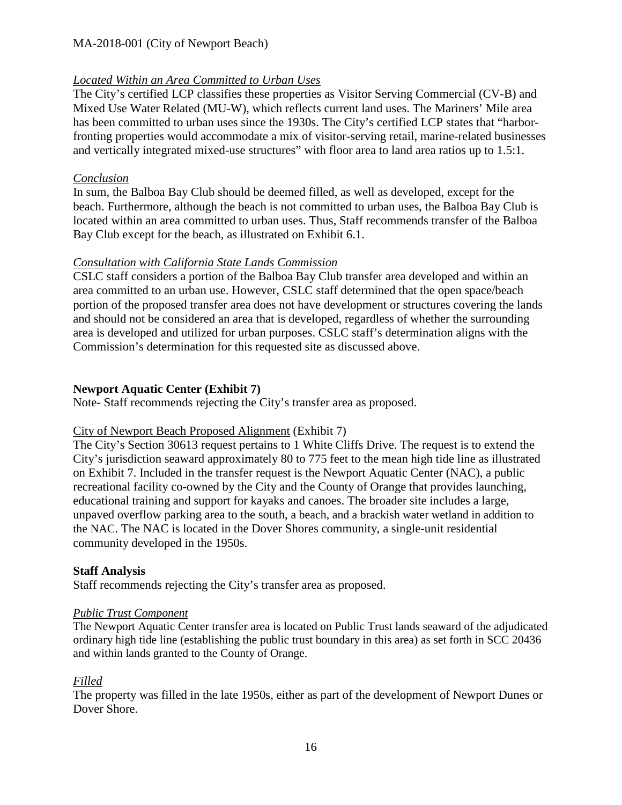### *Located Within an Area Committed to Urban Uses*

The City's certified LCP classifies these properties as Visitor Serving Commercial (CV-B) and Mixed Use Water Related (MU-W), which reflects current land uses. The Mariners' Mile area has been committed to urban uses since the 1930s. The City's certified LCP states that "harborfronting properties would accommodate a mix of visitor-serving retail, marine-related businesses and vertically integrated mixed-use structures" with floor area to land area ratios up to 1.5:1.

### *Conclusion*

In sum, the Balboa Bay Club should be deemed filled, as well as developed, except for the beach. Furthermore, although the beach is not committed to urban uses, the Balboa Bay Club is located within an area committed to urban uses. Thus, Staff recommends transfer of the Balboa Bay Club except for the beach, as illustrated on Exhibit 6.1.

#### *Consultation with California State Lands Commission*

CSLC staff considers a portion of the Balboa Bay Club transfer area developed and within an area committed to an urban use. However, CSLC staff determined that the open space/beach portion of the proposed transfer area does not have development or structures covering the lands and should not be considered an area that is developed, regardless of whether the surrounding area is developed and utilized for urban purposes. CSLC staff's determination aligns with the Commission's determination for this requested site as discussed above.

### **Newport Aquatic Center (Exhibit 7)**

Note- Staff recommends rejecting the City's transfer area as proposed.

# City of Newport Beach Proposed Alignment (Exhibit 7)

The City's Section 30613 request pertains to 1 White Cliffs Drive. The request is to extend the City's jurisdiction seaward approximately 80 to 775 feet to the mean high tide line as illustrated on Exhibit 7. Included in the transfer request is the Newport Aquatic Center (NAC), a public recreational facility co-owned by the City and the County of Orange that provides launching, educational training and support for kayaks and canoes. The broader site includes a large, unpaved overflow parking area to the south, a beach, and a brackish water wetland in addition to the NAC. The NAC is located in the Dover Shores community, a single-unit residential community developed in the 1950s.

# **Staff Analysis**

Staff recommends rejecting the City's transfer area as proposed.

#### *Public Trust Component*

The Newport Aquatic Center transfer area is located on Public Trust lands seaward of the adjudicated ordinary high tide line (establishing the public trust boundary in this area) as set forth in SCC 20436 and within lands granted to the County of Orange.

# *Filled*

The property was filled in the late 1950s, either as part of the development of Newport Dunes or Dover Shore.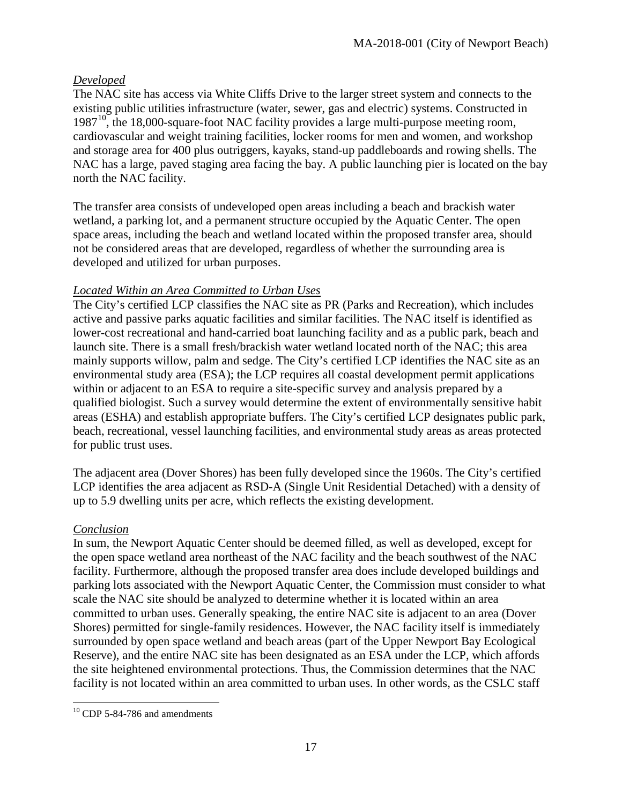### *Developed*

The NAC site has access via White Cliffs Drive to the larger street system and connects to the existing public utilities infrastructure (water, sewer, gas and electric) systems. Constructed in  $1987<sup>10</sup>$ , the 18,000-square-foot NAC facility provides a large multi-purpose meeting room, cardiovascular and weight training facilities, locker rooms for men and women, and workshop and storage area for 400 plus outriggers, kayaks, stand-up paddleboards and rowing shells. The NAC has a large, paved staging area facing the bay. A public launching pier is located on the bay north the NAC facility.

The transfer area consists of undeveloped open areas including a beach and brackish water wetland, a parking lot, and a permanent structure occupied by the Aquatic Center. The open space areas, including the beach and wetland located within the proposed transfer area, should not be considered areas that are developed, regardless of whether the surrounding area is developed and utilized for urban purposes.

### *Located Within an Area Committed to Urban Uses*

The City's certified LCP classifies the NAC site as PR (Parks and Recreation), which includes active and passive parks aquatic facilities and similar facilities. The NAC itself is identified as lower-cost recreational and hand-carried boat launching facility and as a public park, beach and launch site. There is a small fresh/brackish water wetland located north of the NAC; this area mainly supports willow, palm and sedge. The City's certified LCP identifies the NAC site as an environmental study area (ESA); the LCP requires all coastal development permit applications within or adjacent to an ESA to require a site-specific survey and analysis prepared by a qualified biologist. Such a survey would determine the extent of environmentally sensitive habit areas (ESHA) and establish appropriate buffers. The City's certified LCP designates public park, beach, recreational, vessel launching facilities, and environmental study areas as areas protected for public trust uses.

The adjacent area (Dover Shores) has been fully developed since the 1960s. The City's certified LCP identifies the area adjacent as RSD-A (Single Unit Residential Detached) with a density of up to 5.9 dwelling units per acre, which reflects the existing development.

#### *Conclusion*

In sum, the Newport Aquatic Center should be deemed filled, as well as developed, except for the open space wetland area northeast of the NAC facility and the beach southwest of the NAC facility. Furthermore, although the proposed transfer area does include developed buildings and parking lots associated with the Newport Aquatic Center, the Commission must consider to what scale the NAC site should be analyzed to determine whether it is located within an area committed to urban uses. Generally speaking, the entire NAC site is adjacent to an area (Dover Shores) permitted for single-family residences. However, the NAC facility itself is immediately surrounded by open space wetland and beach areas (part of the Upper Newport Bay Ecological Reserve), and the entire NAC site has been designated as an ESA under the LCP, which affords the site heightened environmental protections. Thus, the Commission determines that the NAC facility is not located within an area committed to urban uses. In other words, as the CSLC staff

<span id="page-16-0"></span> $\overline{a}$  $10$  CDP 5-84-786 and amendments